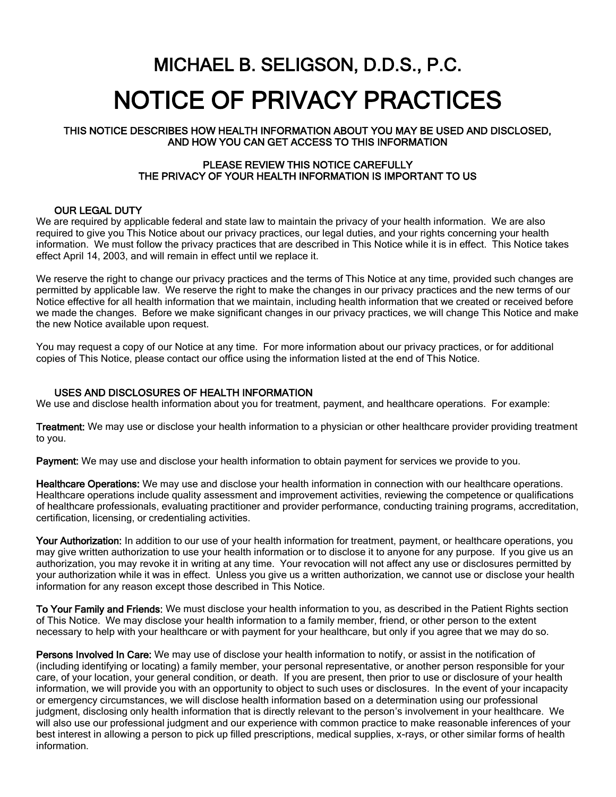# MICHAEL B. SELIGSON, D.D.S., P.C. NOTICE OF PRIVACY PRACTICES

#### THIS NOTICE DESCRIBES HOW HEALTH INFORMATION ABOUT YOU MAY BE USED AND DISCLOSED, AND HOW YOU CAN GET ACCESS TO THIS INFORMATION

## PLEASE REVIEW THIS NOTICE CAREFULLY THE PRIVACY OF YOUR HEALTH INFORMATION IS IMPORTANT TO US

### OUR LEGAL DUTY

We are required by applicable federal and state law to maintain the privacy of your health information. We are also required to give you This Notice about our privacy practices, our legal duties, and your rights concerning your health information. We must follow the privacy practices that are described in This Notice while it is in effect. This Notice takes effect April 14, 2003, and will remain in effect until we replace it.

We reserve the right to change our privacy practices and the terms of This Notice at any time, provided such changes are permitted by applicable law. We reserve the right to make the changes in our privacy practices and the new terms of our Notice effective for all health information that we maintain, including health information that we created or received before we made the changes. Before we make significant changes in our privacy practices, we will change This Notice and make the new Notice available upon request.

You may request a copy of our Notice at any time. For more information about our privacy practices, or for additional copies of This Notice, please contact our office using the information listed at the end of This Notice.

### USES AND DISCLOSURES OF HEALTH INFORMATION

We use and disclose health information about you for treatment, payment, and healthcare operations. For example:

Treatment: We may use or disclose your health information to a physician or other healthcare provider providing treatment to you.

Payment: We may use and disclose your health information to obtain payment for services we provide to you.

Healthcare Operations: We may use and disclose your health information in connection with our healthcare operations. Healthcare operations include quality assessment and improvement activities, reviewing the competence or qualifications of healthcare professionals, evaluating practitioner and provider performance, conducting training programs, accreditation, certification, licensing, or credentialing activities.

Your Authorization: In addition to our use of your health information for treatment, payment, or healthcare operations, you may give written authorization to use your health information or to disclose it to anyone for any purpose. If you give us an authorization, you may revoke it in writing at any time. Your revocation will not affect any use or disclosures permitted by your authorization while it was in effect. Unless you give us a written authorization, we cannot use or disclose your health information for any reason except those described in This Notice.

To Your Family and Friends: We must disclose your health information to you, as described in the Patient Rights section of This Notice. We may disclose your health information to a family member, friend, or other person to the extent necessary to help with your healthcare or with payment for your healthcare, but only if you agree that we may do so.

Persons Involved In Care: We may use of disclose your health information to notify, or assist in the notification of (including identifying or locating) a family member, your personal representative, or another person responsible for your care, of your location, your general condition, or death. If you are present, then prior to use or disclosure of your health information, we will provide you with an opportunity to object to such uses or disclosures. In the event of your incapacity or emergency circumstances, we will disclose health information based on a determination using our professional judgment, disclosing only health information that is directly relevant to the person's involvement in your healthcare. We will also use our professional judgment and our experience with common practice to make reasonable inferences of your best interest in allowing a person to pick up filled prescriptions, medical supplies, x-rays, or other similar forms of health information.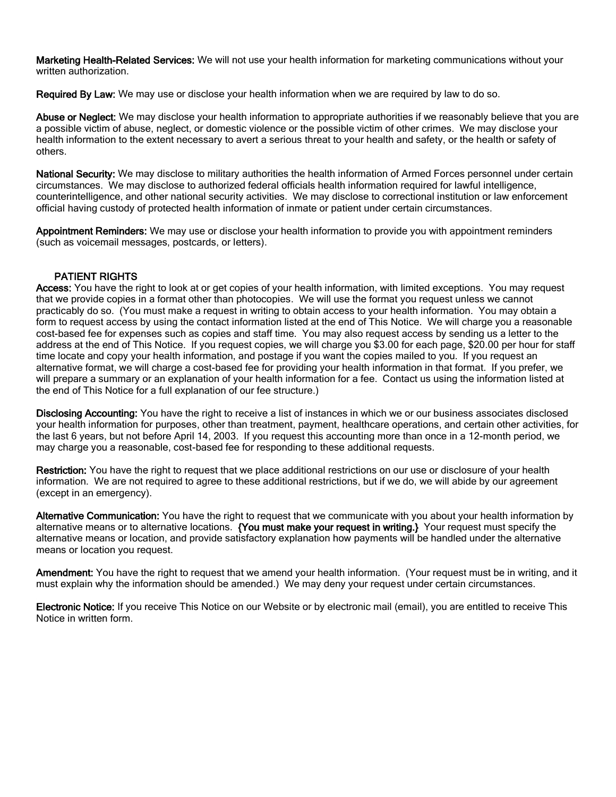Marketing Health-Related Services: We will not use your health information for marketing communications without your written authorization.

Required By Law: We may use or disclose your health information when we are required by law to do so.

Abuse or Neglect: We may disclose your health information to appropriate authorities if we reasonably believe that you are a possible victim of abuse, neglect, or domestic violence or the possible victim of other crimes. We may disclose your health information to the extent necessary to avert a serious threat to your health and safety, or the health or safety of others.

National Security: We may disclose to military authorities the health information of Armed Forces personnel under certain circumstances. We may disclose to authorized federal officials health information required for lawful intelligence, counterintelligence, and other national security activities. We may disclose to correctional institution or law enforcement official having custody of protected health information of inmate or patient under certain circumstances.

Appointment Reminders: We may use or disclose your health information to provide you with appointment reminders (such as voicemail messages, postcards, or letters).

### PATIENT RIGHTS

Access: You have the right to look at or get copies of your health information, with limited exceptions. You may request that we provide copies in a format other than photocopies. We will use the format you request unless we cannot practicably do so. (You must make a request in writing to obtain access to your health information. You may obtain a form to request access by using the contact information listed at the end of This Notice. We will charge you a reasonable cost-based fee for expenses such as copies and staff time. You may also request access by sending us a letter to the address at the end of This Notice. If you request copies, we will charge you \$3.00 for each page, \$20.00 per hour for staff time locate and copy your health information, and postage if you want the copies mailed to you. If you request an alternative format, we will charge a cost-based fee for providing your health information in that format. If you prefer, we will prepare a summary or an explanation of your health information for a fee. Contact us using the information listed at the end of This Notice for a full explanation of our fee structure.)

Disclosing Accounting: You have the right to receive a list of instances in which we or our business associates disclosed your health information for purposes, other than treatment, payment, healthcare operations, and certain other activities, for the last 6 years, but not before April 14, 2003. If you request this accounting more than once in a 12-month period, we may charge you a reasonable, cost-based fee for responding to these additional requests.

Restriction: You have the right to request that we place additional restrictions on our use or disclosure of your health information. We are not required to agree to these additional restrictions, but if we do, we will abide by our agreement (except in an emergency).

Alternative Communication: You have the right to request that we communicate with you about your health information by alternative means or to alternative locations. **{You must make your request in writing.}** Your request must specify the alternative means or location, and provide satisfactory explanation how payments will be handled under the alternative means or location you request.

Amendment: You have the right to request that we amend your health information. (Your request must be in writing, and it must explain why the information should be amended.) We may deny your request under certain circumstances.

Electronic Notice: If you receive This Notice on our Website or by electronic mail (email), you are entitled to receive This Notice in written form.